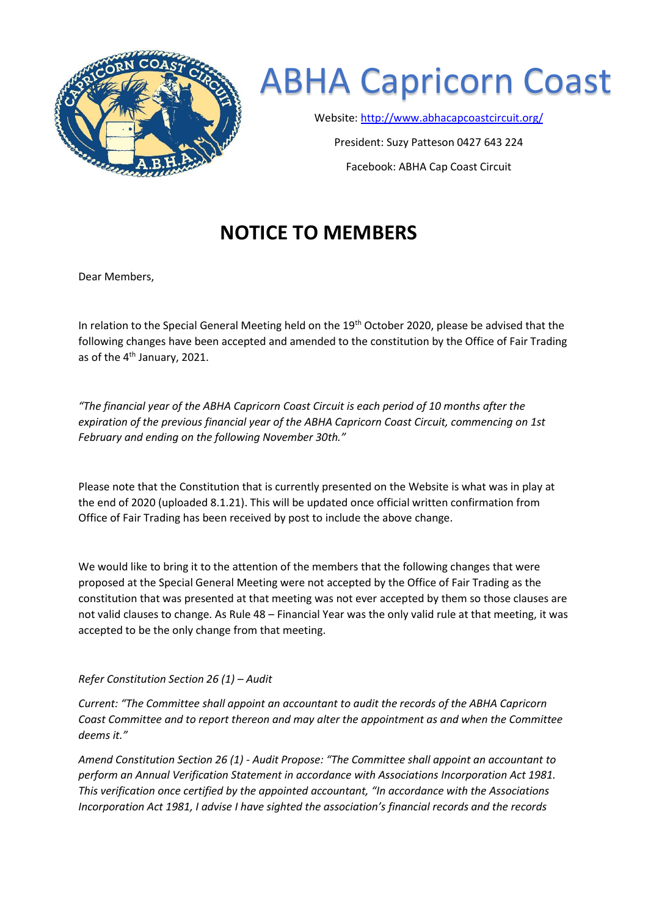

## ABHA Capricorn Coast

Website:<http://www.abhacapcoastcircuit.org/>

President: Suzy Patteson 0427 643 224 Facebook: ABHA Cap Coast Circuit

## **NOTICE TO MEMBERS**

Dear Members,

In relation to the Special General Meeting held on the  $19<sup>th</sup>$  October 2020, please be advised that the following changes have been accepted and amended to the constitution by the Office of Fair Trading as of the 4<sup>th</sup> January, 2021.

*"The financial year of the ABHA Capricorn Coast Circuit is each period of 10 months after the expiration of the previous financial year of the ABHA Capricorn Coast Circuit, commencing on 1st February and ending on the following November 30th."*

Please note that the Constitution that is currently presented on the Website is what was in play at the end of 2020 (uploaded 8.1.21). This will be updated once official written confirmation from Office of Fair Trading has been received by post to include the above change.

We would like to bring it to the attention of the members that the following changes that were proposed at the Special General Meeting were not accepted by the Office of Fair Trading as the constitution that was presented at that meeting was not ever accepted by them so those clauses are not valid clauses to change. As Rule 48 – Financial Year was the only valid rule at that meeting, it was accepted to be the only change from that meeting.

## *Refer Constitution Section 26 (1) – Audit*

*Current: "The Committee shall appoint an accountant to audit the records of the ABHA Capricorn Coast Committee and to report thereon and may alter the appointment as and when the Committee deems it."* 

*Amend Constitution Section 26 (1) - Audit Propose: "The Committee shall appoint an accountant to perform an Annual Verification Statement in accordance with Associations Incorporation Act 1981. This verification once certified by the appointed accountant, "In accordance with the Associations Incorporation Act 1981, I advise I have sighted the association's financial records and the records*